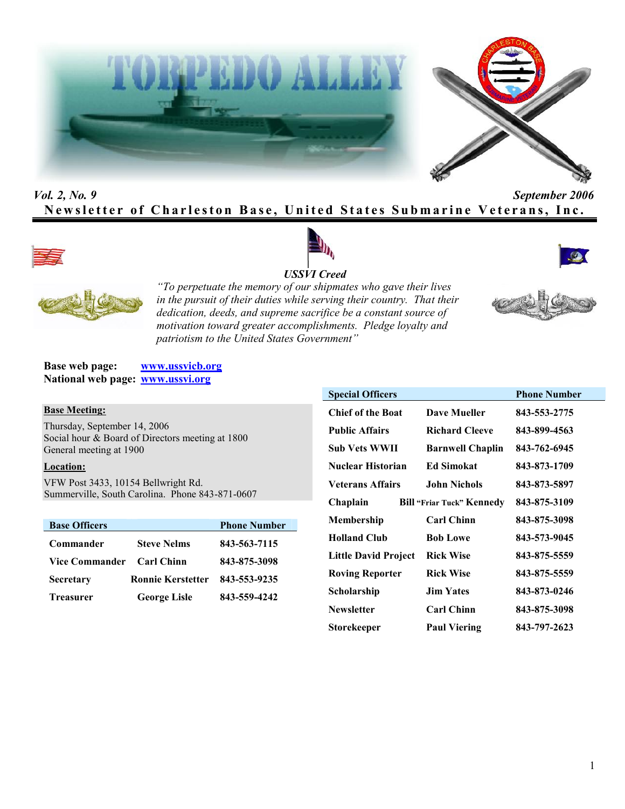



# *Vol. 2, No. 9 September 2006* **Newsletter of Charleston Base, United States Submarine Veterans, Inc.**









*"To perpetuate the memory of our shipmates who gave their lives in the pursuit of their duties while serving their country. That their dedication, deeds, and supreme sacrifice be a constant source of motivation toward greater accomplishments. Pledge loyalty and patriotism to the United States Government"*

**Base web page: www.ussvicb.org National web page: www.ussvi.org**

#### **Base Meeting:**

Thursday, September 14, 2006 Social hour & Board of Directors meeting at 1800 General meeting at 1900

#### **Location:**

VFW Post 3433, 10154 Bellwright Rd. Summerville, South Carolina. Phone 843-871-0607

| <b>Base Officers</b> |                          | <b>Phone Number</b> |
|----------------------|--------------------------|---------------------|
| Commander            | <b>Steve Nelms</b>       | 843-563-7115        |
| Vice Commander       | <b>Carl Chinn</b>        | 843-875-3098        |
| <b>Secretary</b>     | <b>Ronnie Kerstetter</b> | 843-553-9235        |
| <b>Treasurer</b>     | <b>George Lisle</b>      | 843-559-4242        |

| <b>Special Officers</b>     |                                  | <b>Phone Number</b> |
|-----------------------------|----------------------------------|---------------------|
| <b>Chief of the Boat</b>    | <b>Dave Mueller</b>              | 843-553-2775        |
| <b>Public Affairs</b>       | <b>Richard Cleeve</b>            | 843-899-4563        |
| Sub Vets WWII               | <b>Barnwell Chaplin</b>          | 843-762-6945        |
| Nuclear Historian           | <b>Ed Simokat</b>                | 843-873-1709        |
| <b>Veterans Affairs</b>     | <b>John Nichols</b>              | 843-873-5897        |
| Chaplain                    | <b>Bill "Friar Tuck" Kennedy</b> | 843-875-3109        |
| Membership                  | <b>Carl Chinn</b>                | 843-875-3098        |
| <b>Holland Club</b>         | <b>Bob Lowe</b>                  | 843-573-9045        |
| <b>Little David Project</b> | <b>Rick Wise</b>                 | 843-875-5559        |
| <b>Roving Reporter</b>      | <b>Rick Wise</b>                 | 843-875-5559        |
| Scholarship                 | <b>Jim Yates</b>                 | 843-873-0246        |
| <b>Newsletter</b>           | <b>Carl Chinn</b>                | 843-875-3098        |
| Storekeeper                 | <b>Paul Viering</b>              | 843-797-2623        |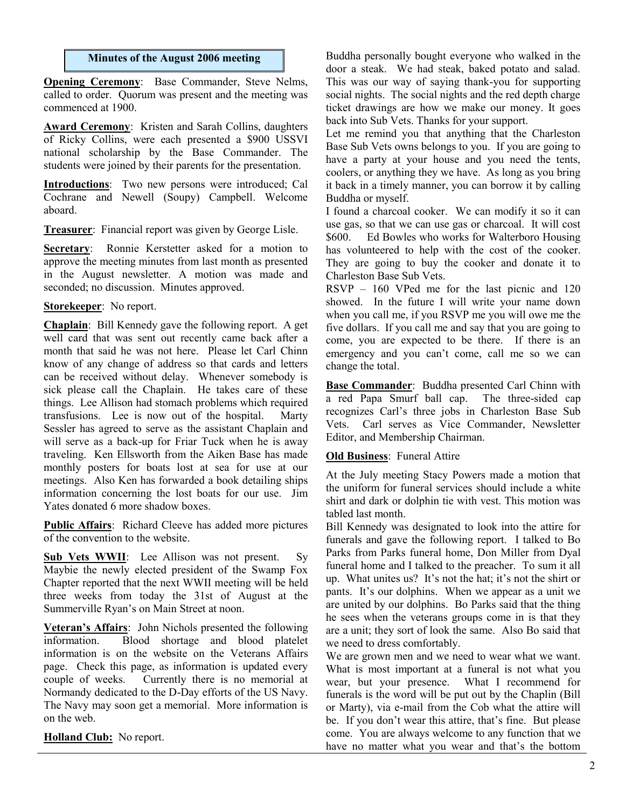#### **Minutes of the August 2006 meeting**

**Opening Ceremony**: Base Commander, Steve Nelms, called to order. Quorum was present and the meeting was commenced at 1900.

**Award Ceremony**: Kristen and Sarah Collins, daughters of Ricky Collins, were each presented a \$900 USSVI national scholarship by the Base Commander. The students were joined by their parents for the presentation.

**Introductions**: Two new persons were introduced; Cal Cochrane and Newell (Soupy) Campbell. Welcome aboard.

**Treasurer**: Financial report was given by George Lisle.

**Secretary**: Ronnie Kerstetter asked for a motion to approve the meeting minutes from last month as presented in the August newsletter. A motion was made and seconded; no discussion. Minutes approved.

# **Storekeeper**: No report.

**Chaplain**: Bill Kennedy gave the following report. A get well card that was sent out recently came back after a month that said he was not here. Please let Carl Chinn know of any change of address so that cards and letters can be received without delay. Whenever somebody is sick please call the Chaplain. He takes care of these things. Lee Allison had stomach problems which required transfusions. Lee is now out of the hospital. Marty Sessler has agreed to serve as the assistant Chaplain and will serve as a back-up for Friar Tuck when he is away traveling. Ken Ellsworth from the Aiken Base has made monthly posters for boats lost at sea for use at our meetings. Also Ken has forwarded a book detailing ships information concerning the lost boats for our use. Jim Yates donated 6 more shadow boxes.

**Public Affairs**: Richard Cleeve has added more pictures of the convention to the website.

**Sub Vets WWII**: Lee Allison was not present. Sy Maybie the newly elected president of the Swamp Fox Chapter reported that the next WWII meeting will be held three weeks from today the 31st of August at the Summerville Ryan's on Main Street at noon.

**Veteran's Affairs**: John Nichols presented the following information. Blood shortage and blood platelet information is on the website on the Veterans Affairs page. Check this page, as information is updated every couple of weeks. Currently there is no memorial at Normandy dedicated to the D-Day efforts of the US Navy. The Navy may soon get a memorial. More information is on the web.

**Holland Club:** No report.

Buddha personally bought everyone who walked in the door a steak. We had steak, baked potato and salad. This was our way of saying thank-you for supporting social nights. The social nights and the red depth charge ticket drawings are how we make our money. It goes back into Sub Vets. Thanks for your support.

Let me remind you that anything that the Charleston Base Sub Vets owns belongs to you. If you are going to have a party at your house and you need the tents, coolers, or anything they we have. As long as you bring it back in a timely manner, you can borrow it by calling Buddha or myself.

I found a charcoal cooker. We can modify it so it can use gas, so that we can use gas or charcoal. It will cost \$600. Ed Bowles who works for Walterboro Housing has volunteered to help with the cost of the cooker. They are going to buy the cooker and donate it to Charleston Base Sub Vets.

RSVP – 160 VPed me for the last picnic and 120 showed. In the future I will write your name down when you call me, if you RSVP me you will owe me the five dollars. If you call me and say that you are going to come, you are expected to be there. If there is an emergency and you can't come, call me so we can change the total.

**Base Commander**: Buddha presented Carl Chinn with a red Papa Smurf ball cap. The three-sided cap recognizes Carl's three jobs in Charleston Base Sub Vets. Carl serves as Vice Commander, Newsletter Editor, and Membership Chairman.

# **Old Business**: Funeral Attire

At the July meeting Stacy Powers made a motion that the uniform for funeral services should include a white shirt and dark or dolphin tie with vest. This motion was tabled last month.

Bill Kennedy was designated to look into the attire for funerals and gave the following report. I talked to Bo Parks from Parks funeral home, Don Miller from Dyal funeral home and I talked to the preacher. To sum it all up. What unites us? It's not the hat; it's not the shirt or pants. It's our dolphins. When we appear as a unit we are united by our dolphins. Bo Parks said that the thing he sees when the veterans groups come in is that they are a unit; they sort of look the same. Also Bo said that we need to dress comfortably.

We are grown men and we need to wear what we want. What is most important at a funeral is not what you wear, but your presence. What I recommend for funerals is the word will be put out by the Chaplin (Bill or Marty), via e-mail from the Cob what the attire will be. If you don't wear this attire, that's fine. But please come. You are always welcome to any function that we have no matter what you wear and that's the bottom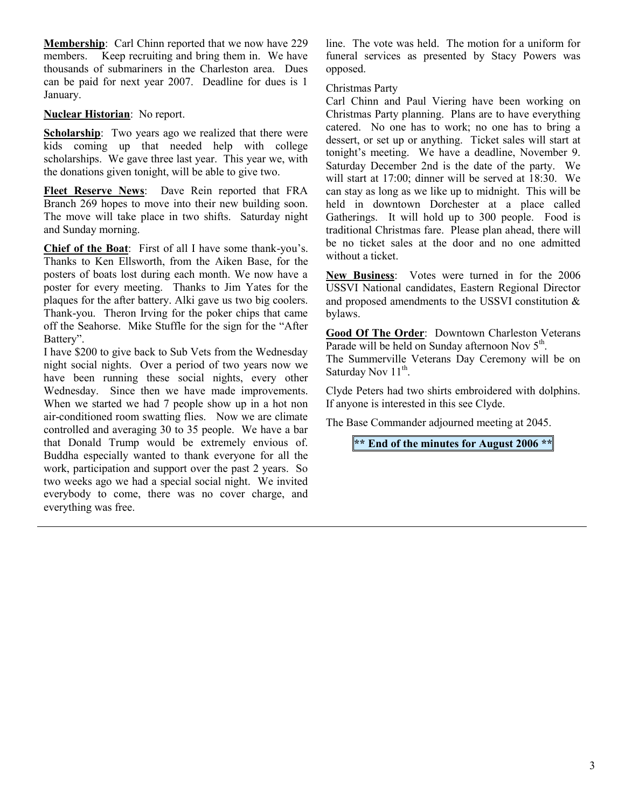**Membership**: Carl Chinn reported that we now have 229 members. Keep recruiting and bring them in. We have thousands of submariners in the Charleston area. Dues can be paid for next year 2007. Deadline for dues is 1 January.

**Nuclear Historian**: No report.

**Scholarship**: Two years ago we realized that there were kids coming up that needed help with college scholarships. We gave three last year. This year we, with the donations given tonight, will be able to give two.

**Fleet Reserve News**: Dave Rein reported that FRA Branch 269 hopes to move into their new building soon. The move will take place in two shifts. Saturday night and Sunday morning.

**Chief of the Boat**: First of all I have some thank-you's. Thanks to Ken Ellsworth, from the Aiken Base, for the posters of boats lost during each month. We now have a poster for every meeting. Thanks to Jim Yates for the plaques for the after battery. Alki gave us two big coolers. Thank-you. Theron Irving for the poker chips that came off the Seahorse. Mike Stuffle for the sign for the "After Battery".

I have \$200 to give back to Sub Vets from the Wednesday night social nights. Over a period of two years now we have been running these social nights, every other Wednesday. Since then we have made improvements. When we started we had 7 people show up in a hot non air-conditioned room swatting flies. Now we are climate controlled and averaging 30 to 35 people. We have a bar that Donald Trump would be extremely envious of. Buddha especially wanted to thank everyone for all the work, participation and support over the past 2 years. So two weeks ago we had a special social night. We invited everybody to come, there was no cover charge, and everything was free.

line. The vote was held. The motion for a uniform for funeral services as presented by Stacy Powers was opposed.

Christmas Party

Carl Chinn and Paul Viering have been working on Christmas Party planning. Plans are to have everything catered. No one has to work; no one has to bring a dessert, or set up or anything. Ticket sales will start at tonight's meeting. We have a deadline, November 9. Saturday December 2nd is the date of the party. We will start at 17:00; dinner will be served at 18:30. We can stay as long as we like up to midnight. This will be held in downtown Dorchester at a place called Gatherings. It will hold up to 300 people. Food is traditional Christmas fare. Please plan ahead, there will be no ticket sales at the door and no one admitted without a ticket.

**New Business**: Votes were turned in for the 2006 USSVI National candidates, Eastern Regional Director and proposed amendments to the USSVI constitution & bylaws.

**Good Of The Order**: Downtown Charleston Veterans Parade will be held on Sunday afternoon Nov 5<sup>th</sup>.

The Summerville Veterans Day Ceremony will be on Saturday Nov 11<sup>th</sup>.

Clyde Peters had two shirts embroidered with dolphins. If anyone is interested in this see Clyde.

The Base Commander adjourned meeting at 2045.

**\*\* End of the minutes for August 2006 \*\***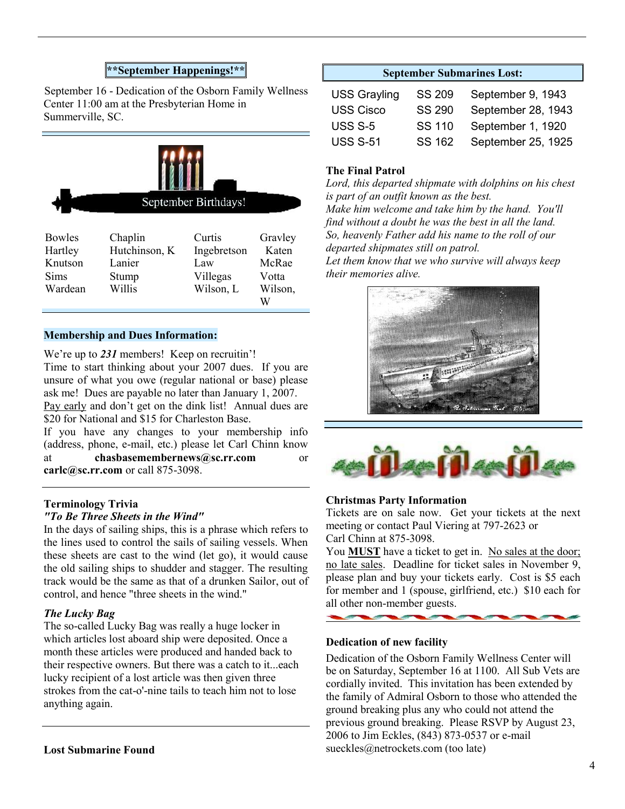# **\*\*September Happenings!\*\***

September 16 - Dedication of the Osborn Family Wellness Center 11:00 am at the Presbyterian Home in Summerville, SC.



| <b>Bowles</b> | Chaplin       | Curtis      | Gravley |
|---------------|---------------|-------------|---------|
| Hartley       | Hutchinson, K | Ingebretson | Katen   |
| Knutson       | Lanier        | Law         | McRae   |
| Sims          | Stump         | Villegas    | Votta   |
| Wardean       | Willis        | Wilson, L   | Wilson, |
|               |               |             | W       |

#### **Membership and Dues Information:**

We're up to 231 members! Keep on recruitin'! Time to start thinking about your 2007 dues. If you are unsure of what you owe (regular national or base) please ask me! Dues are payable no later than January 1, 2007. Pay early and don't get on the dink list! Annual dues are \$20 for National and \$15 for Charleston Base.

If you have any changes to your membership info (address, phone, e-mail, etc.) please let Carl Chinn know at **chasbasemembernews@sc.rr.com** or **carlc@sc.rr.com** or call 875-3098.

#### **Terminology Trivia** *"To Be Three Sheets in the Wind"*

In the days of sailing ships, this is a phrase which refers to the lines used to control the sails of sailing vessels. When these sheets are cast to the wind (let go), it would cause the old sailing ships to shudder and stagger. The resulting track would be the same as that of a drunken Sailor, out of control, and hence "three sheets in the wind."

#### *The Lucky Bag*

The so-called Lucky Bag was really a huge locker in which articles lost aboard ship were deposited. Once a month these articles were produced and handed back to their respective owners. But there was a catch to it...each lucky recipient of a lost article was then given three strokes from the cat-o'-nine tails to teach him not to lose anything again.

## **September Submarines Lost:**

| <b>USS Grayling</b> | SS 209        | September 9, 1943  |
|---------------------|---------------|--------------------|
| <b>USS Cisco</b>    | <b>SS 290</b> | September 28, 1943 |
| <b>USS S-5</b>      | SS 110        | September 1, 1920  |
| <b>USS S-51</b>     | SS 162        | September 25, 1925 |

## **The Final Patrol**

*Lord, this departed shipmate with dolphins on his chest is part of an outfit known as the best.*

*Make him welcome and take him by the hand. You'll find without a doubt he was the best in all the land. So, heavenly Father add his name to the roll of our departed shipmates still on patrol.*

*Let them know that we who survive will always keep their memories alive.*





#### **Christmas Party Information**

Tickets are on sale now. Get your tickets at the next meeting or contact Paul Viering at 797-2623 or Carl Chinn at 875-3098.

You **MUST** have a ticket to get in. No sales at the door; no late sales. Deadline for ticket sales in November 9, please plan and buy your tickets early. Cost is \$5 each for member and 1 (spouse, girlfriend, etc.) \$10 each for all other non-member guests.

#### **Dedication of new facility**

and the contract of the contract of the contract of the contract of the contract of the contract of the contract of the contract of the contract of the contract of the contract of the contract of the contract of the contra

Dedication of the Osborn Family Wellness Center will be on Saturday, September 16 at 1100. All Sub Vets are cordially invited. This invitation has been extended by the family of Admiral Osborn to those who attended the ground breaking plus any who could not attend the previous ground breaking. Please RSVP by August 23, 2006 to Jim Eckles, (843) 873-0537 or e-mail sueckles@netrockets.com (too late)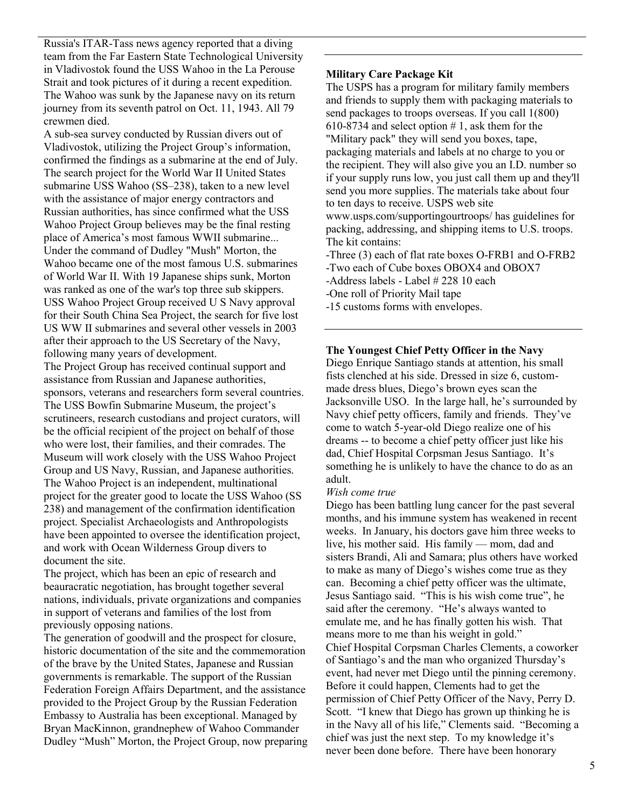Russia's ITAR-Tass news agency reported that a diving team from the Far Eastern State Technological University in Vladivostok found the USS Wahoo in the La Perouse Strait and took pictures of it during a recent expedition. The Wahoo was sunk by the Japanese navy on its return journey from its seventh patrol on Oct. 11, 1943. All 79 crewmen died.

A sub-sea survey conducted by Russian divers out of Vladivostok, utilizing the Project Group's information, confirmed the findings as a submarine at the end of July. The search project for the World War II United States submarine USS Wahoo (SS–238), taken to a new level with the assistance of major energy contractors and Russian authorities, has since confirmed what the USS Wahoo Project Group believes may be the final resting place of America's most famous WWII submarine... Under the command of Dudley "Mush" Morton, the Wahoo became one of the most famous U.S. submarines of World War II. With 19 Japanese ships sunk, Morton was ranked as one of the war's top three sub skippers. USS Wahoo Project Group received U S Navy approval for their South China Sea Project, the search for five lost US WW II submarines and several other vessels in 2003 after their approach to the US Secretary of the Navy, following many years of development. The Project Group has received continual support and

assistance from Russian and Japanese authorities, sponsors, veterans and researchers form several countries. The USS Bowfin Submarine Museum, the project's scrutineers, research custodians and project curators, will be the official recipient of the project on behalf of those who were lost, their families, and their comrades. The Museum will work closely with the USS Wahoo Project Group and US Navy, Russian, and Japanese authorities. The Wahoo Project is an independent, multinational project for the greater good to locate the USS Wahoo (SS 238) and management of the confirmation identification project. Specialist Archaeologists and Anthropologists have been appointed to oversee the identification project, and work with Ocean Wilderness Group divers to document the site.

The project, which has been an epic of research and beauracratic negotiation, has brought together several nations, individuals, private organizations and companies in support of veterans and families of the lost from previously opposing nations.

The generation of goodwill and the prospect for closure, historic documentation of the site and the commemoration of the brave by the United States, Japanese and Russian governments is remarkable. The support of the Russian Federation Foreign Affairs Department, and the assistance provided to the Project Group by the Russian Federation Embassy to Australia has been exceptional. Managed by Bryan MacKinnon, grandnephew of Wahoo Commander Dudley "Mush" Morton, the Project Group, now preparing

#### **Military Care Package Kit**

The USPS has a program for military family members and friends to supply them with packaging materials to send packages to troops overseas. If you call 1(800) 610-8734 and select option  $# 1$ , ask them for the "Military pack" they will send you boxes, tape, packaging materials and labels at no charge to you or the recipient. They will also give you an I.D. number so if your supply runs low, you just call them up and they'll send you more supplies. The materials take about four to ten days to receive. USPS web site www.usps.com/supportingourtroops/ has guidelines for packing, addressing, and shipping items to U.S. troops. The kit contains:

-Three (3) each of flat rate boxes O-FRB1 and O-FRB2

- -Two each of Cube boxes OBOX4 and OBOX7
- -Address labels Label # 228 10 each
- -One roll of Priority Mail tape

-15 customs forms with envelopes.

## **The Youngest Chief Petty Officer in the Navy**

Diego Enrique Santiago stands at attention, his small fists clenched at his side. Dressed in size 6, custommade dress blues, Diego's brown eyes scan the Jacksonville USO. In the large hall, he's surrounded by Navy chief petty officers, family and friends. They've come to watch 5-year-old Diego realize one of his dreams -- to become a chief petty officer just like his dad, Chief Hospital Corpsman Jesus Santiago. It's something he is unlikely to have the chance to do as an adult.

#### *Wish come true*

Diego has been battling lung cancer for the past several months, and his immune system has weakened in recent weeks. In January, his doctors gave him three weeks to live, his mother said. His family — mom, dad and sisters Brandi, Ali and Samara; plus others have worked to make as many of Diego's wishes come true as they can. Becoming a chief petty officer was the ultimate, Jesus Santiago said. "This is his wish come true", he said after the ceremony. "He's always wanted to emulate me, and he has finally gotten his wish. That means more to me than his weight in gold." Chief Hospital Corpsman Charles Clements, a coworker of Santiago's and the man who organized Thursday's event, had never met Diego until the pinning ceremony. Before it could happen, Clements had to get the permission of Chief Petty Officer of the Navy, Perry D. Scott. "I knew that Diego has grown up thinking he is in the Navy all of his life," Clements said. "Becoming a chief was just the next step. To my knowledge it's never been done before. There have been honorary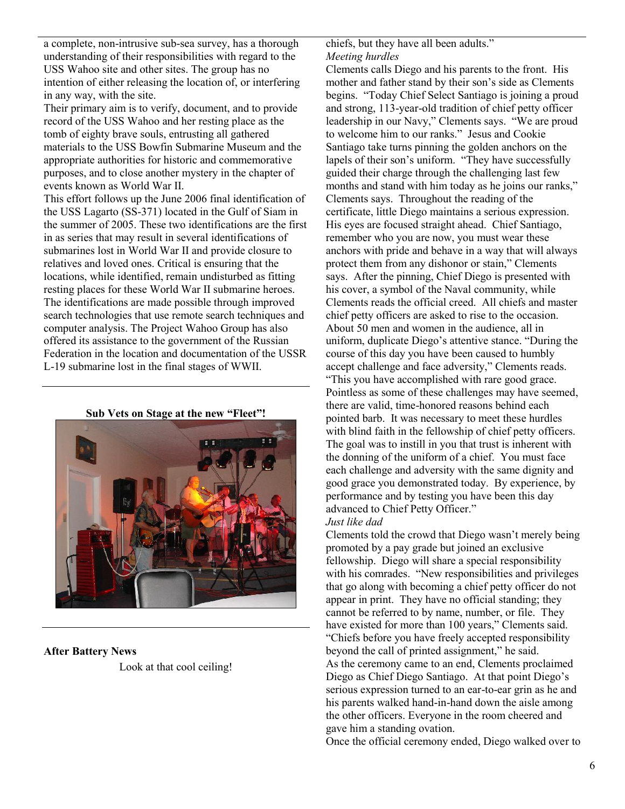a complete, non-intrusive sub-sea survey, has a thorough understanding of their responsibilities with regard to the USS Wahoo site and other sites. The group has no intention of either releasing the location of, or interfering in any way, with the site.

Their primary aim is to verify, document, and to provide record of the USS Wahoo and her resting place as the tomb of eighty brave souls, entrusting all gathered materials to the USS Bowfin Submarine Museum and the appropriate authorities for historic and commemorative purposes, and to close another mystery in the chapter of events known as World War II.

This effort follows up the June 2006 final identification of the USS Lagarto (SS-371) located in the Gulf of Siam in the summer of 2005. These two identifications are the first in as series that may result in several identifications of submarines lost in World War II and provide closure to relatives and loved ones. Critical is ensuring that the locations, while identified, remain undisturbed as fitting resting places for these World War II submarine heroes. The identifications are made possible through improved search technologies that use remote search techniques and computer analysis. The Project Wahoo Group has also offered its assistance to the government of the Russian Federation in the location and documentation of the USSR L-19 submarine lost in the final stages of WWII.

**Sub Vets on Stage at the new "Fleet"!**

#### **After Battery News**

Look at that cool ceiling!

chiefs, but they have all been adults." *Meeting hurdles*

Clements calls Diego and his parents to the front. His mother and father stand by their son's side as Clements begins. "Today Chief Select Santiago is joining a proud and strong, 113-year-old tradition of chief petty officer leadership in our Navy," Clements says. "We are proud to welcome him to our ranks." Jesus and Cookie Santiago take turns pinning the golden anchors on the lapels of their son's uniform. "They have successfully guided their charge through the challenging last few months and stand with him today as he joins our ranks," Clements says. Throughout the reading of the certificate, little Diego maintains a serious expression. His eyes are focused straight ahead. Chief Santiago, remember who you are now, you must wear these anchors with pride and behave in a way that will always protect them from any dishonor or stain," Clements says. After the pinning, Chief Diego is presented with his cover, a symbol of the Naval community, while Clements reads the official creed. All chiefs and master chief petty officers are asked to rise to the occasion. About 50 men and women in the audience, all in uniform, duplicate Diego's attentive stance. "During the course of this day you have been caused to humbly accept challenge and face adversity," Clements reads. "This you have accomplished with rare good grace. Pointless as some of these challenges may have seemed, there are valid, time-honored reasons behind each pointed barb. It was necessary to meet these hurdles with blind faith in the fellowship of chief petty officers. The goal was to instill in you that trust is inherent with the donning of the uniform of a chief. You must face each challenge and adversity with the same dignity and good grace you demonstrated today. By experience, by performance and by testing you have been this day advanced to Chief Petty Officer."

## *Just like dad*

Clements told the crowd that Diego wasn't merely being promoted by a pay grade but joined an exclusive fellowship. Diego will share a special responsibility with his comrades. "New responsibilities and privileges that go along with becoming a chief petty officer do not appear in print. They have no official standing; they cannot be referred to by name, number, or file. They have existed for more than 100 years," Clements said. "Chiefs before you have freely accepted responsibility beyond the call of printed assignment," he said. As the ceremony came to an end, Clements proclaimed Diego as Chief Diego Santiago. At that point Diego's serious expression turned to an ear-to-ear grin as he and his parents walked hand-in-hand down the aisle among the other officers. Everyone in the room cheered and gave him a standing ovation.

Once the official ceremony ended, Diego walked over to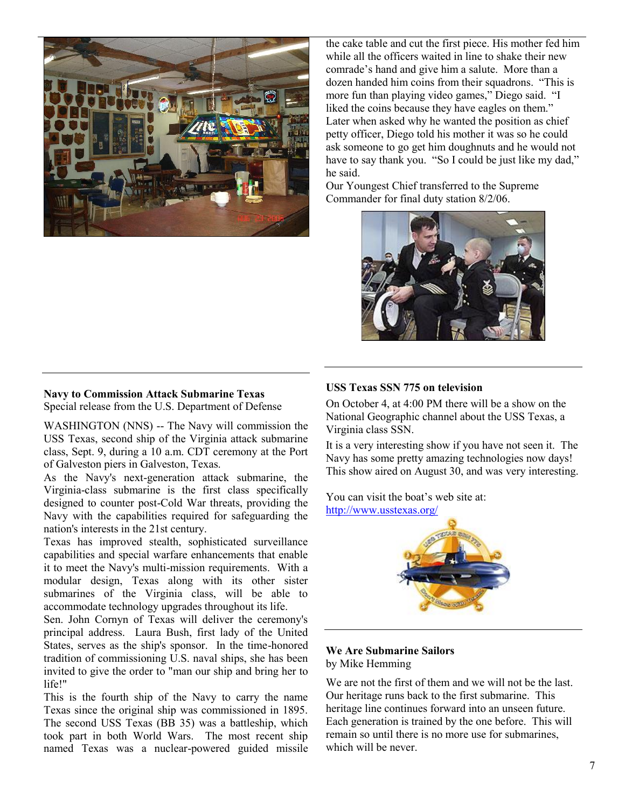

the cake table and cut the first piece. His mother fed him while all the officers waited in line to shake their new comrade's hand and give him a salute. More than a dozen handed him coins from their squadrons. "This is more fun than playing video games," Diego said. "I liked the coins because they have eagles on them." Later when asked why he wanted the position as chief petty officer, Diego told his mother it was so he could ask someone to go get him doughnuts and he would not have to say thank you. "So I could be just like my dad," he said.

Our Youngest Chief transferred to the Supreme Commander for final duty station 8/2/06.



# **Navy to Commission Attack Submarine Texas**

Special release from the U.S. Department of Defense

WASHINGTON (NNS) -- The Navy will commission the USS Texas, second ship of the Virginia attack submarine class, Sept. 9, during a 10 a.m. CDT ceremony at the Port of Galveston piers in Galveston, Texas.

As the Navy's next-generation attack submarine, the Virginia-class submarine is the first class specifically designed to counter post-Cold War threats, providing the Navy with the capabilities required for safeguarding the nation's interests in the 21st century.

Texas has improved stealth, sophisticated surveillance capabilities and special warfare enhancements that enable it to meet the Navy's multi-mission requirements. With a modular design, Texas along with its other sister submarines of the Virginia class, will be able to accommodate technology upgrades throughout its life.

Sen. John Cornyn of Texas will deliver the ceremony's principal address. Laura Bush, first lady of the United States, serves as the ship's sponsor. In the time-honored tradition of commissioning U.S. naval ships, she has been invited to give the order to "man our ship and bring her to life!"

This is the fourth ship of the Navy to carry the name Texas since the original ship was commissioned in 1895. The second USS Texas (BB 35) was a battleship, which took part in both World Wars. The most recent ship named Texas was a nuclear-powered guided missile

## **USS Texas SSN 775 on television**

On October 4, at 4:00 PM there will be a show on the National Geographic channel about the USS Texas, a Virginia class SSN.

It is a very interesting show if you have not seen it. The Navy has some pretty amazing technologies now days! This show aired on August 30, and was very interesting.

You can visit the boat's web site at: http://www.usstexas.org/



#### **We Are Submarine Sailors** by Mike Hemming

We are not the first of them and we will not be the last. Our heritage runs back to the first submarine. This heritage line continues forward into an unseen future. Each generation is trained by the one before. This will remain so until there is no more use for submarines, which will be never.